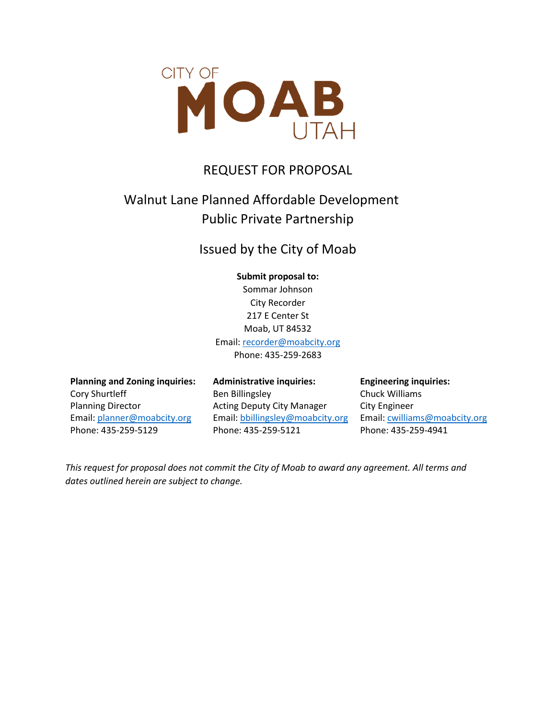

# REQUEST FOR PROPOSAL

# Walnut Lane Planned Affordable Development Public Private Partnership

## Issued by the City of Moab

#### **Submit proposal to:**

Sommar Johnson City Recorder 217 E Center St Moab, UT 84532 Email: [recorder@moabcity.org](mailto:recorder@moabcity.org) Phone: 435-259-2683

**Planning and Zoning inquiries:** Cory Shurtleff Planning Director Email: [planner@moabcity.org](mailto:planner@moabcity.org) Phone: 435-259-5129

**Administrative inquiries:** Ben Billingsley Acting Deputy City Manager Email[: bbillingsley@moabcity.org](mailto:bbillingsley@moabcity.org) Phone: 435-259-5121

**Engineering inquiries:** Chuck Williams City Engineer Email[: cwilliams@moabcity.org](mailto:cwilliams@moabcity.org) Phone: 435-259-4941

*This request for proposal does not commit the City of Moab to award any agreement. All terms and dates outlined herein are subject to change.*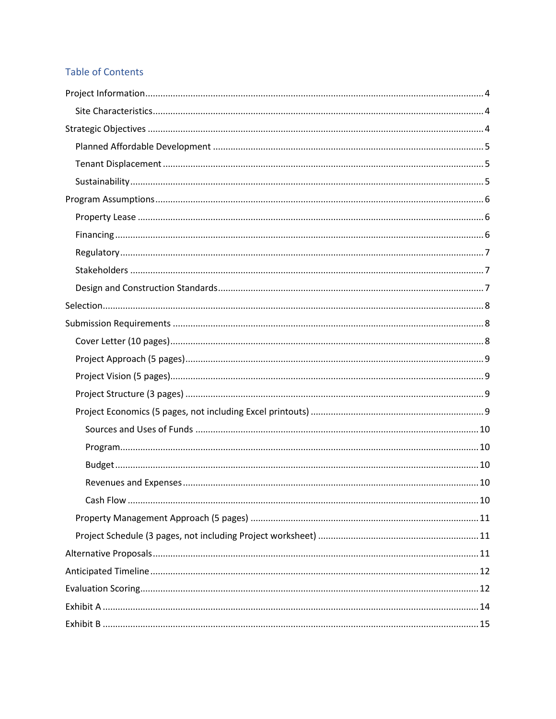## **Table of Contents**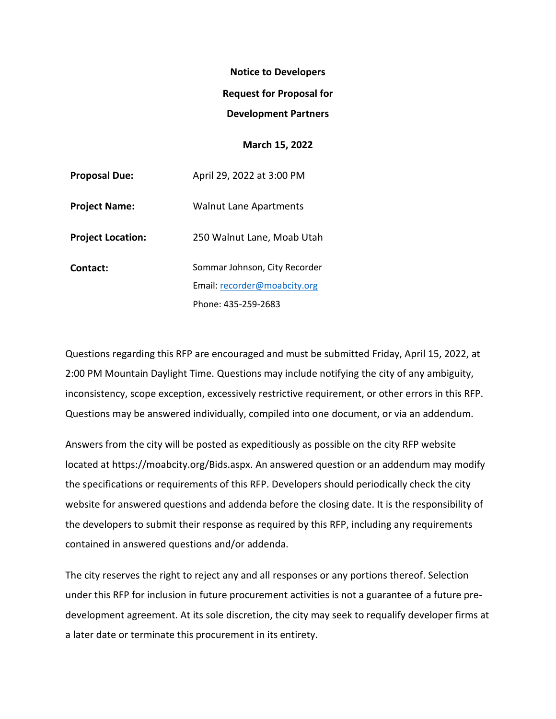# **Notice to Developers Request for Proposal for**

#### **Development Partners**

## **March 15, 2022**

| <b>Proposal Due:</b>     | April 29, 2022 at 3:00 PM     |
|--------------------------|-------------------------------|
| <b>Project Name:</b>     | <b>Walnut Lane Apartments</b> |
| <b>Project Location:</b> | 250 Walnut Lane, Moab Utah    |
| Contact:                 | Sommar Johnson, City Recorder |
|                          | Email: recorder@moabcity.org  |
|                          | Phone: 435-259-2683           |

Questions regarding this RFP are encouraged and must be submitted Friday, April 15, 2022, at 2:00 PM Mountain Daylight Time. Questions may include notifying the city of any ambiguity, inconsistency, scope exception, excessively restrictive requirement, or other errors in this RFP. Questions may be answered individually, compiled into one document, or via an addendum.

Answers from the city will be posted as expeditiously as possible on the city RFP website located at https://moabcity.org/Bids.aspx. An answered question or an addendum may modify the specifications or requirements of this RFP. Developers should periodically check the city website for answered questions and addenda before the closing date. It is the responsibility of the developers to submit their response as required by this RFP, including any requirements contained in answered questions and/or addenda.

The city reserves the right to reject any and all responses or any portions thereof. Selection under this RFP for inclusion in future procurement activities is not a guarantee of a future predevelopment agreement. At its sole discretion, the city may seek to requalify developer firms at a later date or terminate this procurement in its entirety.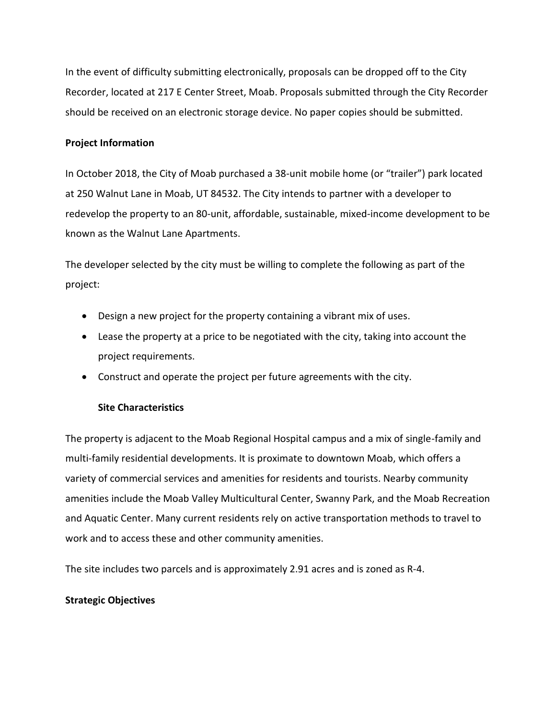In the event of difficulty submitting electronically, proposals can be dropped off to the City Recorder, located at 217 E Center Street, Moab. Proposals submitted through the City Recorder should be received on an electronic storage device. No paper copies should be submitted.

## <span id="page-3-0"></span>**Project Information**

In October 2018, the City of Moab purchased a 38-unit mobile home (or "trailer") park located at 250 Walnut Lane in Moab, UT 84532. The City intends to partner with a developer to redevelop the property to an 80-unit, affordable, sustainable, mixed-income development to be known as the Walnut Lane Apartments.

The developer selected by the city must be willing to complete the following as part of the project:

- Design a new project for the property containing a vibrant mix of uses.
- Lease the property at a price to be negotiated with the city, taking into account the project requirements.
- Construct and operate the project per future agreements with the city.

## **Site Characteristics**

<span id="page-3-1"></span>The property is adjacent to the Moab Regional Hospital campus and a mix of single-family and multi-family residential developments. It is proximate to downtown Moab, which offers a variety of commercial services and amenities for residents and tourists. Nearby community amenities include the Moab Valley Multicultural Center, Swanny Park, and the Moab Recreation and Aquatic Center. Many current residents rely on active transportation methods to travel to work and to access these and other community amenities.

The site includes two parcels and is approximately 2.91 acres and is zoned as R-4.

## <span id="page-3-2"></span>**Strategic Objectives**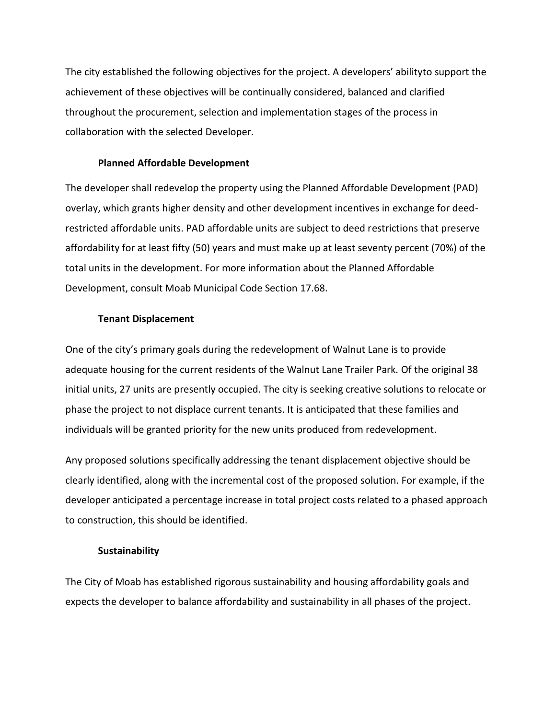The city established the following objectives for the project. A developers' abilityto support the achievement of these objectives will be continually considered, balanced and clarified throughout the procurement, selection and implementation stages of the process in collaboration with the selected Developer.

#### **Planned Affordable Development**

<span id="page-4-0"></span>The developer shall redevelop the property using the Planned Affordable Development (PAD) overlay, which grants higher density and other development incentives in exchange for deedrestricted affordable units. PAD affordable units are subject to deed restrictions that preserve affordability for at least fifty (50) years and must make up at least seventy percent (70%) of the total units in the development. For more information about the Planned Affordable Development, consult Moab Municipal Code Section 17.68.

### **Tenant Displacement**

<span id="page-4-1"></span>One of the city's primary goals during the redevelopment of Walnut Lane is to provide adequate housing for the current residents of the Walnut Lane Trailer Park. Of the original 38 initial units, 27 units are presently occupied. The city is seeking creative solutions to relocate or phase the project to not displace current tenants. It is anticipated that these families and individuals will be granted priority for the new units produced from redevelopment.

Any proposed solutions specifically addressing the tenant displacement objective should be clearly identified, along with the incremental cost of the proposed solution. For example, if the developer anticipated a percentage increase in total project costs related to a phased approach to construction, this should be identified.

#### **Sustainability**

<span id="page-4-2"></span>The City of Moab has established rigorous sustainability and housing affordability goals and expects the developer to balance affordability and sustainability in all phases of the project.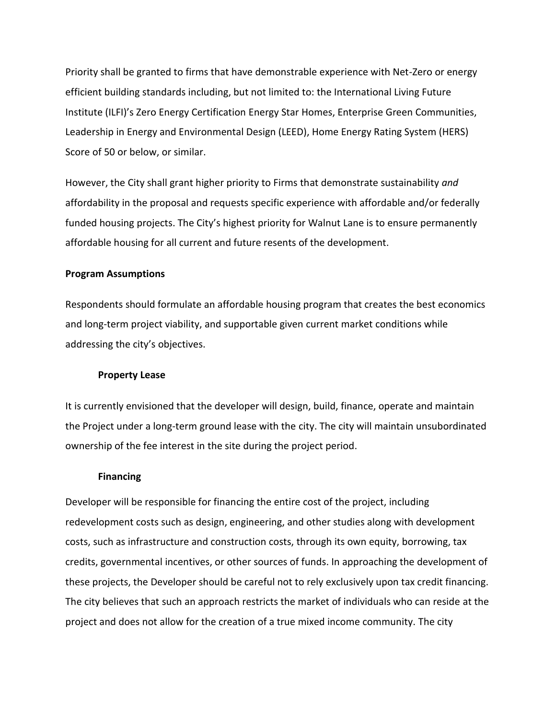Priority shall be granted to firms that have demonstrable experience with Net-Zero or energy efficient building standards including, but not limited to: the International Living Future Institute (ILFI)'s Zero Energy Certification Energy Star Homes, Enterprise Green Communities, Leadership in Energy and Environmental Design (LEED), Home Energy Rating System (HERS) Score of 50 or below, or similar.

However, the City shall grant higher priority to Firms that demonstrate sustainability *and*  affordability in the proposal and requests specific experience with affordable and/or federally funded housing projects. The City's highest priority for Walnut Lane is to ensure permanently affordable housing for all current and future resents of the development.

### <span id="page-5-0"></span>**Program Assumptions**

Respondents should formulate an affordable housing program that creates the best economics and long-term project viability, and supportable given current market conditions while addressing the city's objectives.

#### **Property Lease**

<span id="page-5-1"></span>It is currently envisioned that the developer will design, build, finance, operate and maintain the Project under a long-term ground lease with the city. The city will maintain unsubordinated ownership of the fee interest in the site during the project period.

#### **Financing**

<span id="page-5-2"></span>Developer will be responsible for financing the entire cost of the project, including redevelopment costs such as design, engineering, and other studies along with development costs, such as infrastructure and construction costs, through its own equity, borrowing, tax credits, governmental incentives, or other sources of funds. In approaching the development of these projects, the Developer should be careful not to rely exclusively upon tax credit financing. The city believes that such an approach restricts the market of individuals who can reside at the project and does not allow for the creation of a true mixed income community. The city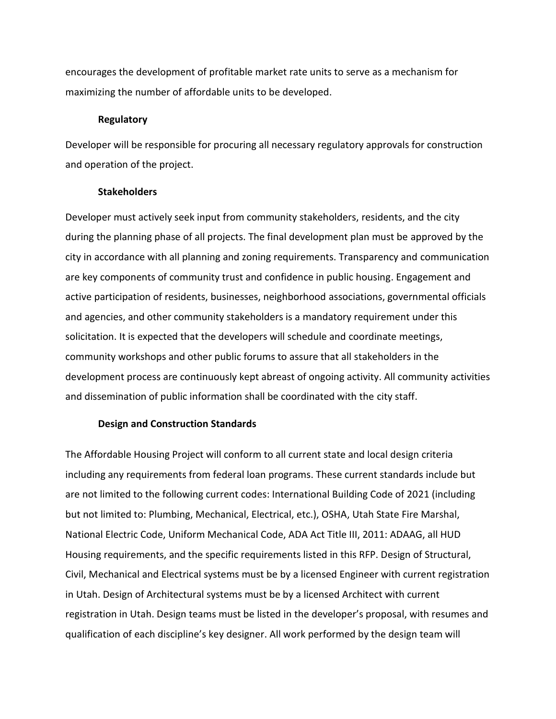encourages the development of profitable market rate units to serve as a mechanism for maximizing the number of affordable units to be developed.

#### **Regulatory**

<span id="page-6-0"></span>Developer will be responsible for procuring all necessary regulatory approvals for construction and operation of the project.

#### **Stakeholders**

<span id="page-6-1"></span>Developer must actively seek input from community stakeholders, residents, and the city during the planning phase of all projects. The final development plan must be approved by the city in accordance with all planning and zoning requirements. Transparency and communication are key components of community trust and confidence in public housing. Engagement and active participation of residents, businesses, neighborhood associations, governmental officials and agencies, and other community stakeholders is a mandatory requirement under this solicitation. It is expected that the developers will schedule and coordinate meetings, community workshops and other public forums to assure that all stakeholders in the development process are continuously kept abreast of ongoing activity. All community activities and dissemination of public information shall be coordinated with the city staff.

## **Design and Construction Standards**

<span id="page-6-2"></span>The Affordable Housing Project will conform to all current state and local design criteria including any requirements from federal loan programs. These current standards include but are not limited to the following current codes: International Building Code of 2021 (including but not limited to: Plumbing, Mechanical, Electrical, etc.), OSHA, Utah State Fire Marshal, National Electric Code, Uniform Mechanical Code, ADA Act Title III, 2011: ADAAG, all HUD Housing requirements, and the specific requirements listed in this RFP. Design of Structural, Civil, Mechanical and Electrical systems must be by a licensed Engineer with current registration in Utah. Design of Architectural systems must be by a licensed Architect with current registration in Utah. Design teams must be listed in the developer's proposal, with resumes and qualification of each discipline's key designer. All work performed by the design team will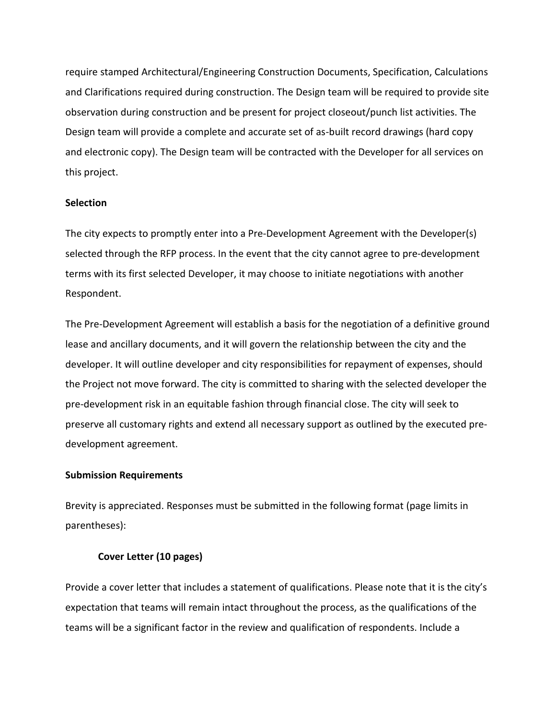require stamped Architectural/Engineering Construction Documents, Specification, Calculations and Clarifications required during construction. The Design team will be required to provide site observation during construction and be present for project closeout/punch list activities. The Design team will provide a complete and accurate set of as-built record drawings (hard copy and electronic copy). The Design team will be contracted with the Developer for all services on this project.

#### <span id="page-7-0"></span>**Selection**

The city expects to promptly enter into a Pre-Development Agreement with the Developer(s) selected through the RFP process. In the event that the city cannot agree to pre-development terms with its first selected Developer, it may choose to initiate negotiations with another Respondent.

The Pre-Development Agreement will establish a basis for the negotiation of a definitive ground lease and ancillary documents, and it will govern the relationship between the city and the developer. It will outline developer and city responsibilities for repayment of expenses, should the Project not move forward. The city is committed to sharing with the selected developer the pre-development risk in an equitable fashion through financial close. The city will seek to preserve all customary rights and extend all necessary support as outlined by the executed predevelopment agreement.

#### <span id="page-7-1"></span>**Submission Requirements**

Brevity is appreciated. Responses must be submitted in the following format (page limits in parentheses):

#### **Cover Letter (10 pages)**

<span id="page-7-2"></span>Provide a cover letter that includes a statement of qualifications. Please note that it is the city's expectation that teams will remain intact throughout the process, as the qualifications of the teams will be a significant factor in the review and qualification of respondents. Include a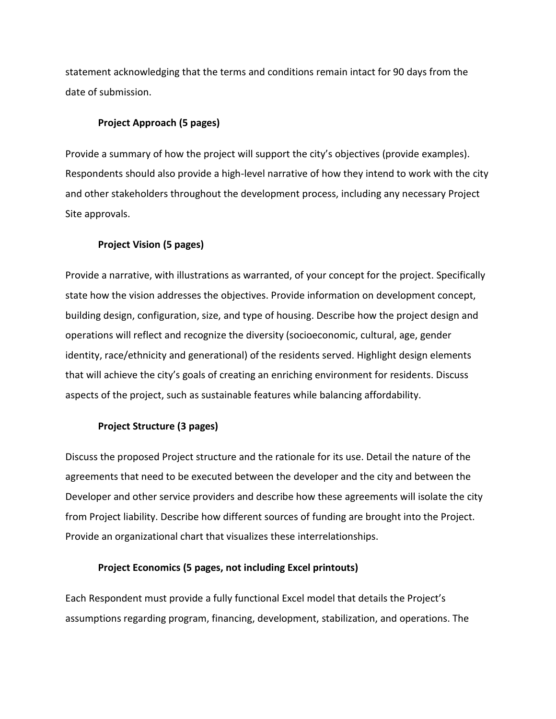statement acknowledging that the terms and conditions remain intact for 90 days from the date of submission.

#### **Project Approach (5 pages)**

<span id="page-8-0"></span>Provide a summary of how the project will support the city's objectives (provide examples). Respondents should also provide a high-level narrative of how they intend to work with the city and other stakeholders throughout the development process, including any necessary Project Site approvals.

## **Project Vision (5 pages)**

<span id="page-8-1"></span>Provide a narrative, with illustrations as warranted, of your concept for the project. Specifically state how the vision addresses the objectives. Provide information on development concept, building design, configuration, size, and type of housing. Describe how the project design and operations will reflect and recognize the diversity (socioeconomic, cultural, age, gender identity, race/ethnicity and generational) of the residents served. Highlight design elements that will achieve the city's goals of creating an enriching environment for residents. Discuss aspects of the project, such as sustainable features while balancing affordability.

#### **Project Structure (3 pages)**

<span id="page-8-2"></span>Discuss the proposed Project structure and the rationale for its use. Detail the nature of the agreements that need to be executed between the developer and the city and between the Developer and other service providers and describe how these agreements will isolate the city from Project liability. Describe how different sources of funding are brought into the Project. Provide an organizational chart that visualizes these interrelationships.

#### **Project Economics (5 pages, not including Excel printouts)**

<span id="page-8-3"></span>Each Respondent must provide a fully functional Excel model that details the Project's assumptions regarding program, financing, development, stabilization, and operations. The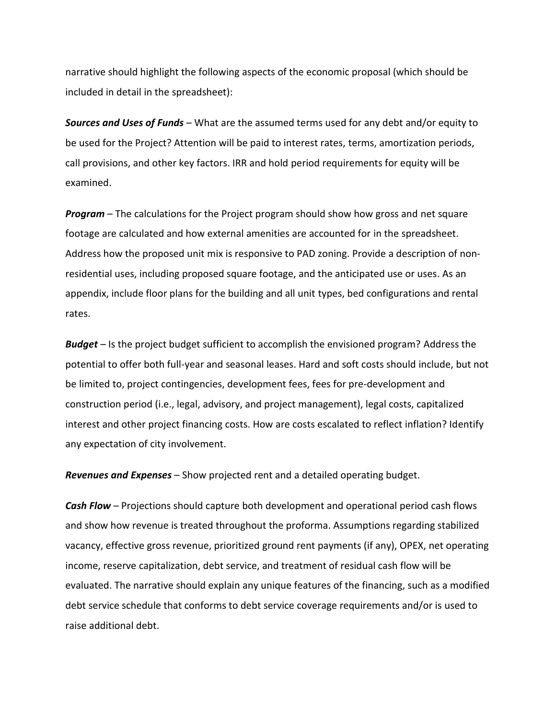narrative should highlight the following aspects of the economic proposal (which should be included in detail in the spreadsheet):

<span id="page-9-0"></span>*Sources and Uses of Funds* – What are the assumed terms used for any debt and/or equity to be used for the Project? Attention will be paid to interest rates, terms, amortization periods, call provisions, and other key factors. IRR and hold period requirements for equity will be examined.

<span id="page-9-1"></span>*Program* – The calculations for the Project program should show how gross and net square footage are calculated and how external amenities are accounted for in the spreadsheet. Address how the proposed unit mix is responsive to PAD zoning. Provide a description of nonresidential uses, including proposed square footage, and the anticipated use or uses. As an appendix, include floor plans for the building and all unit types, bed configurations and rental rates.

<span id="page-9-2"></span>*Budget* – Is the project budget sufficient to accomplish the envisioned program? Address the potential to offer both full-year and seasonal leases. Hard and soft costs should include, but not be limited to, project contingencies, development fees, fees for pre-development and construction period (i.e., legal, advisory, and project management), legal costs, capitalized interest and other project financing costs. How are costs escalated to reflect inflation? Identify any expectation of city involvement.

<span id="page-9-3"></span>*Revenues and Expenses* – Show projected rent and a detailed operating budget.

<span id="page-9-4"></span>*Cash Flow* – Projections should capture both development and operational period cash flows and show how revenue is treated throughout the proforma. Assumptions regarding stabilized vacancy, effective gross revenue, prioritized ground rent payments (if any), OPEX, net operating income, reserve capitalization, debt service, and treatment of residual cash flow will be evaluated. The narrative should explain any unique features of the financing, such as a modified debt service schedule that conforms to debt service coverage requirements and/or is used to raise additional debt.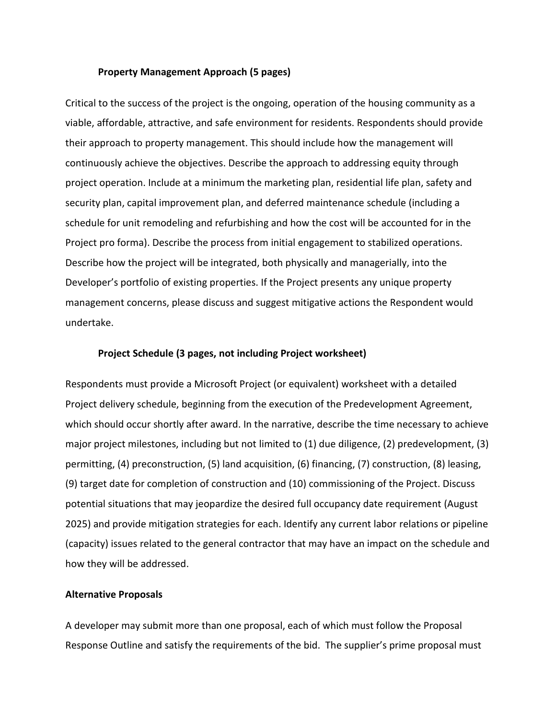#### **Property Management Approach (5 pages)**

<span id="page-10-0"></span>Critical to the success of the project is the ongoing, operation of the housing community as a viable, affordable, attractive, and safe environment for residents. Respondents should provide their approach to property management. This should include how the management will continuously achieve the objectives. Describe the approach to addressing equity through project operation. Include at a minimum the marketing plan, residential life plan, safety and security plan, capital improvement plan, and deferred maintenance schedule (including a schedule for unit remodeling and refurbishing and how the cost will be accounted for in the Project pro forma). Describe the process from initial engagement to stabilized operations. Describe how the project will be integrated, both physically and managerially, into the Developer's portfolio of existing properties. If the Project presents any unique property management concerns, please discuss and suggest mitigative actions the Respondent would undertake.

#### **Project Schedule (3 pages, not including Project worksheet)**

<span id="page-10-1"></span>Respondents must provide a Microsoft Project (or equivalent) worksheet with a detailed Project delivery schedule, beginning from the execution of the Predevelopment Agreement, which should occur shortly after award. In the narrative, describe the time necessary to achieve major project milestones, including but not limited to (1) due diligence, (2) predevelopment, (3) permitting, (4) preconstruction, (5) land acquisition, (6) financing, (7) construction, (8) leasing, (9) target date for completion of construction and (10) commissioning of the Project. Discuss potential situations that may jeopardize the desired full occupancy date requirement (August 2025) and provide mitigation strategies for each. Identify any current labor relations or pipeline (capacity) issues related to the general contractor that may have an impact on the schedule and how they will be addressed.

#### <span id="page-10-2"></span>**Alternative Proposals**

A developer may submit more than one proposal, each of which must follow the Proposal Response Outline and satisfy the requirements of the bid. The supplier's prime proposal must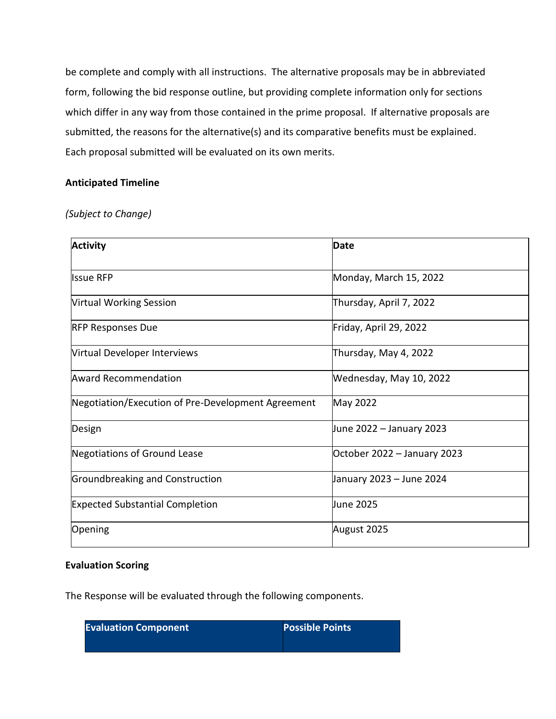be complete and comply with all instructions. The alternative proposals may be in abbreviated form, following the bid response outline, but providing complete information only for sections which differ in any way from those contained in the prime proposal. If alternative proposals are submitted, the reasons for the alternative(s) and its comparative benefits must be explained. Each proposal submitted will be evaluated on its own merits.

## <span id="page-11-0"></span>**Anticipated Timeline**

*(Subject to Change)*

| <b>Activity</b>                                    | Date                        |
|----------------------------------------------------|-----------------------------|
| <b>Issue RFP</b>                                   | Monday, March 15, 2022      |
| <b>Virtual Working Session</b>                     | Thursday, April 7, 2022     |
| <b>RFP Responses Due</b>                           | Friday, April 29, 2022      |
| Virtual Developer Interviews                       | Thursday, May 4, 2022       |
| <b>Award Recommendation</b>                        | Wednesday, May 10, 2022     |
| Negotiation/Execution of Pre-Development Agreement | May 2022                    |
| Design                                             | June 2022 – January 2023    |
| Negotiations of Ground Lease                       | October 2022 - January 2023 |
| Groundbreaking and Construction                    | January 2023 – June 2024    |
| <b>Expected Substantial Completion</b>             | June 2025                   |
| Opening                                            | August 2025                 |

## <span id="page-11-1"></span>**Evaluation Scoring**

The Response will be evaluated through the following components.

| <b>Evaluation Component</b> | <b>Possible Points</b> |
|-----------------------------|------------------------|
|                             |                        |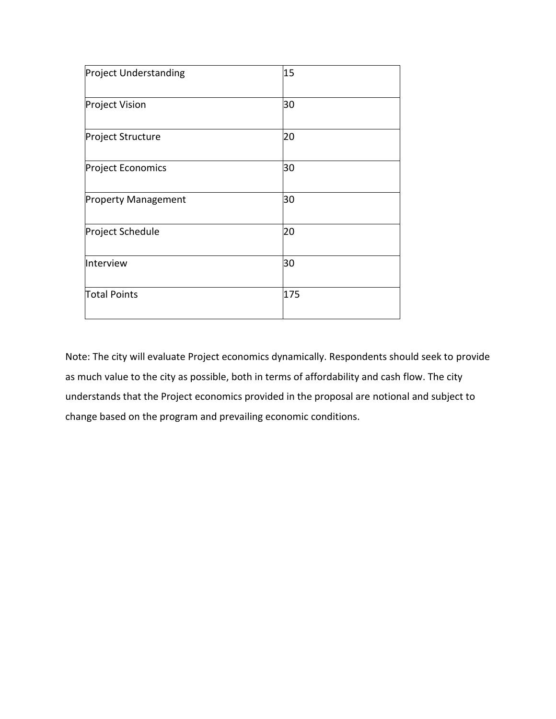| <b>Project Understanding</b> | 15  |  |
|------------------------------|-----|--|
| <b>Project Vision</b>        | 30  |  |
| Project Structure            | 20  |  |
| Project Economics            | 30  |  |
| <b>Property Management</b>   | 30  |  |
| Project Schedule             | 20  |  |
| Interview                    | 30  |  |
| <b>Total Points</b>          | 175 |  |

Note: The city will evaluate Project economics dynamically. Respondents should seek to provide as much value to the city as possible, both in terms of affordability and cash flow. The city understands that the Project economics provided in the proposal are notional and subject to change based on the program and prevailing economic conditions.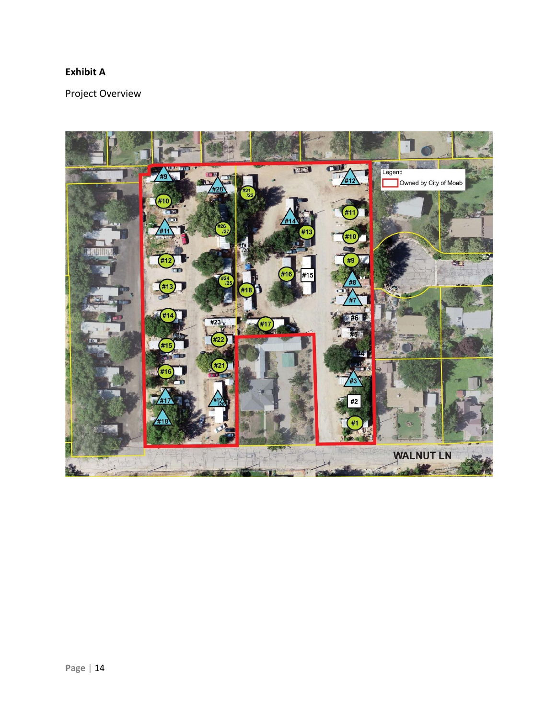## <span id="page-13-0"></span>**Exhibit A**

Project Overview